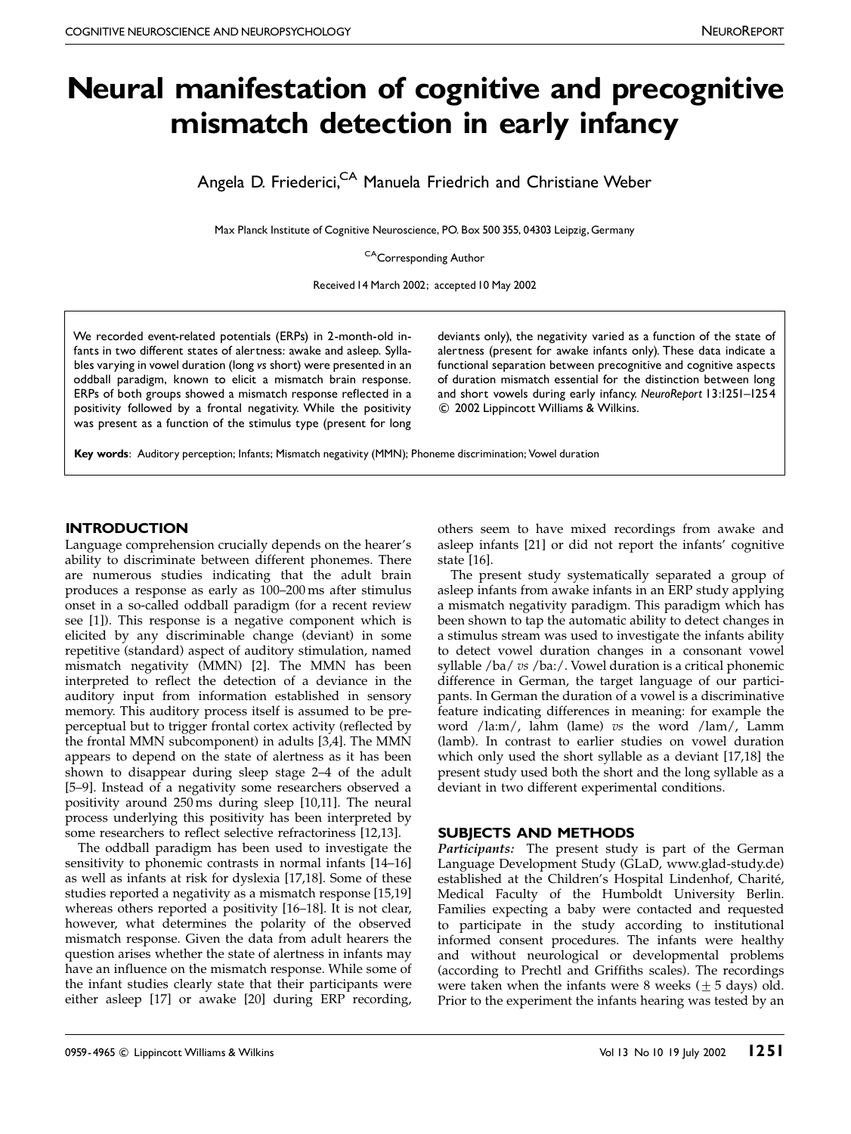# Neural manifestation of cognitive and precognitive mismatch detection in early infancy

Angela D. Friederici,<sup>CA</sup> Manuela Friedrich and Christiane Weber

Max Planck Institute of Cognitive Neuroscience, PO. Box 500 355, 04303 Leipzig,Germany

CACorresponding Author

Received 14 March 2002; accepted 10 May 2002

We recorded event-related potentials (ERPs) in 2-month-old infants in two different states of alertness: awake and asleep. Syllables varying in vowel duration (long vs short) were presented in an oddball paradigm, known to elicit a mismatch brain response. ERPs of both groups showed a mismatch response reflected in a positivity followed by a frontal negativity. While the positivity was present as a function of the stimulus type (present for long

deviants only), the negativity varied as a function of the state of alertness (present for awake infants only). These data indicate a functional separation between precognitive and cognitive aspects of duration mismatch essential for the distinction between long and short vowels during early infancy. NeuroReport 13:1251-1254 c 2002 Lippincott Williams & Wilkins.

Key words: Auditory perception; Infants; Mismatch negativity (MMN); Phoneme discrimination; Vowel duration

## **INTRODUCTION**

Language comprehension crucially depends on the hearer's ability to discriminate between different phonemes. There are numerous studies indicating that the adult brain produces a response as early as 100–200 ms after stimulus onset in a so-called oddball paradigm (for a recent review see [1]). This response is a negative component which is elicited by any discriminable change (deviant) in some repetitive (standard) aspect of auditory stimulation, named mismatch negativity (MMN) [2]. The MMN has been interpreted to reflect the detection of a deviance in the auditory input from information established in sensory memory. This auditory process itself is assumed to be preperceptual but to trigger frontal cortex activity (reflected by the frontal MMN subcomponent) in adults [3,4]. The MMN appears to depend on the state of alertness as it has been shown to disappear during sleep stage 2–4 of the adult [5–9]. Instead of a negativity some researchers observed a positivity around 250 ms during sleep [10,11]. The neural process underlying this positivity has been interpreted by some researchers to reflect selective refractoriness [12,13].

The oddball paradigm has been used to investigate the sensitivity to phonemic contrasts in normal infants [14–16] as well as infants at risk for dyslexia [17,18]. Some of these studies reported a negativity as a mismatch response [15,19] whereas others reported a positivity [16–18]. It is not clear, however, what determines the polarity of the observed mismatch response. Given the data from adult hearers the question arises whether the state of alertness in infants may have an influence on the mismatch response. While some of the infant studies clearly state that their participants were either asleep [17] or awake [20] during ERP recording,

others seem to have mixed recordings from awake and asleep infants [21] or did not report the infants' cognitive state [16].

The present study systematically separated a group of asleep infants from awake infants in an ERP study applying a mismatch negativity paradigm. This paradigm which has been shown to tap the automatic ability to detect changes in a stimulus stream was used to investigate the infants ability to detect vowel duration changes in a consonant vowel syllable /ba/ vs /ba:/. Vowel duration is a critical phonemic difference in German, the target language of our participants. In German the duration of a vowel is a discriminative feature indicating differences in meaning: for example the word /la:m/, lahm (lame) vs the word /lam/, Lamm (lamb). In contrast to earlier studies on vowel duration which only used the short syllable as a deviant [17,18] the present study used both the short and the long syllable as a deviant in two different experimental conditions.

## SUBJECTS AND METHODS

Participants: The present study is part of the German Language Development Study (GLaD, www.glad-study.de) established at the Children's Hospital Lindenhof, Charité, Medical Faculty of the Humboldt University Berlin. Families expecting a baby were contacted and requested to participate in the study according to institutional informed consent procedures. The infants were healthy and without neurological or developmental problems (according to Prechtl and Griffiths scales). The recordings were taken when the infants were 8 weeks  $(+ 5 \text{ days})$  old. Prior to the experiment the infants hearing was tested by an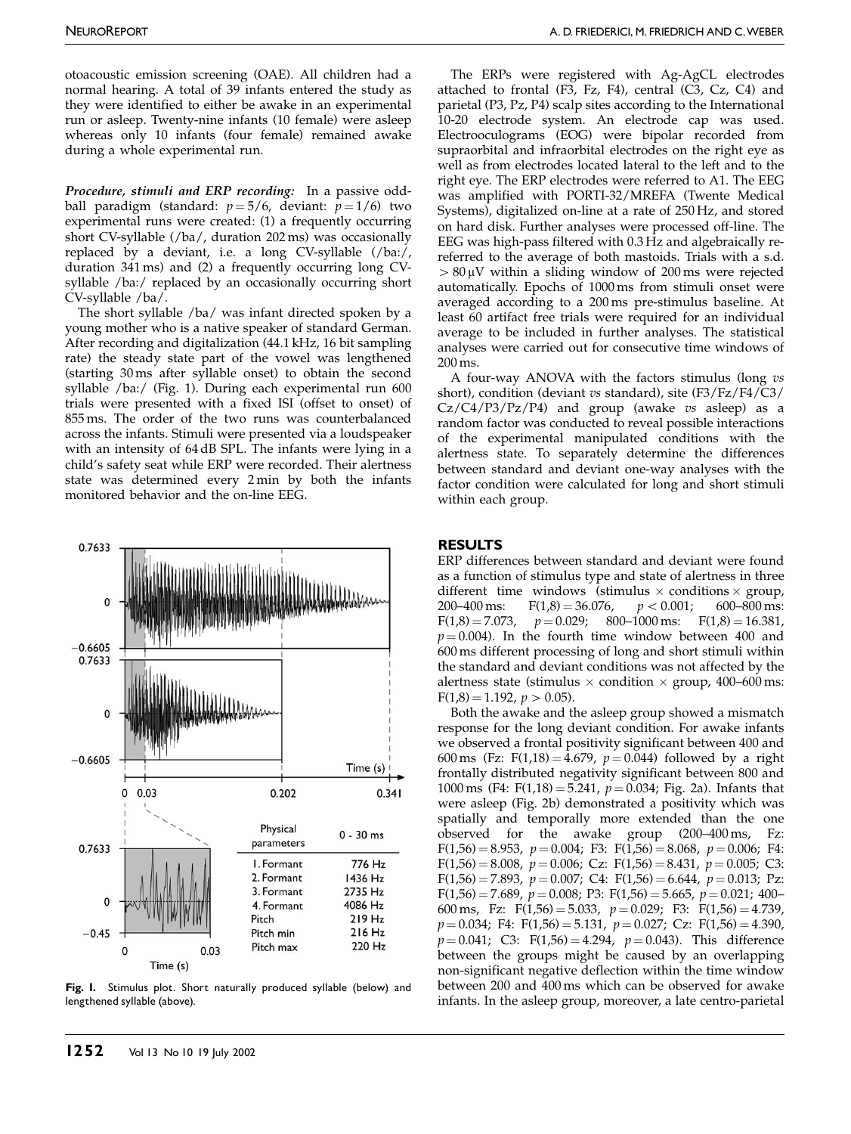otoacoustic emission screening (OAE). All children had a normal hearing. A total of 39 infants entered the study as they were identified to either be awake in an experimental run or asleep. Twenty-nine infants (10 female) were asleep whereas only 10 infants (four female) remained awake during a whole experimental run.

Procedure, stimuli and ERP recording: In a passive oddball paradigm (standard:  $p=5/6$ , deviant:  $p=1/6$ ) two experimental runs were created: (1) a frequently occurring short CV-syllable (/ba/, duration 202 ms) was occasionally replaced by a deviant, i.e. a long CV-syllable (/ba:/, duration 341 ms) and (2) a frequently occurring long CVsyllable /ba:/ replaced by an occasionally occurring short CV-syllable /ba/.

The short syllable /ba/ was infant directed spoken by a young mother who is a native speaker of standard German. After recording and digitalization (44.1 kHz, 16 bit sampling rate) the steady state part of the vowel was lengthened (starting 30 ms after syllable onset) to obtain the second syllable /ba:/ (Fig. 1). During each experimental run 600 trials were presented with a fixed ISI (offset to onset) of 855 ms. The order of the two runs was counterbalanced across the infants. Stimuli were presented via a loudspeaker with an intensity of 64 dB SPL. The infants were lying in a child's safety seat while ERP were recorded. Their alertness state was determined every 2 min by both the infants monitored behavior and the on-line EEG.



Fig. I. Stimulus plot. Short naturally produced syllable (below) and lengthened syllable (above).

The ERPs were registered with Ag-AgCL electrodes attached to frontal  $(F3, Fz, F4)$ , central  $(C3, Cz, C4)$  and parietal (P3, Pz, P4) scalp sites according to the International 10-20 electrode system. An electrode cap was used. Electrooculograms (EOG) were bipolar recorded from supraorbital and infraorbital electrodes on the right eye as well as from electrodes located lateral to the left and to the right eye. The ERP electrodes were referred to A1. The EEG was amplified with PORTI-32/MREFA (Twente Medical Systems), digitalized on-line at a rate of 250 Hz, and stored on hard disk. Further analyses were processed off-line. The EEG was high-pass filtered with 0.3 Hz and algebraically rereferred to the average of both mastoids. Trials with a s.d.  $> 80 \mu V$  within a sliding window of 200 ms were rejected automatically. Epochs of 1000 ms from stimuli onset were averaged according to a 200 ms pre-stimulus baseline. At least 60 artifact free trials were required for an individual average to be included in further analyses. The statistical analyses were carried out for consecutive time windows of 200 ms.

A four-way ANOVA with the factors stimulus (long vs short), condition (deviant vs standard), site (F3/Fz/F4/C3/  $Cz/C4/P3/Pz/P4$ ) and group (awake  $vs$  asleep) as a random factor was conducted to reveal possible interactions of the experimental manipulated conditions with the alertness state. To separately determine the differences between standard and deviant one-way analyses with the factor condition were calculated for long and short stimuli within each group.

## RESULTS

ERP differences between standard and deviant were found as a function of stimulus type and state of alertness in three different time windows (stimulus  $\times$  conditions  $\times$  group, 200–400 ms:  $F(1,8) = 36.076$ ,  $p < 0.001$ ; 600–800 ms:  $F(1,8) = 7.073$ ,  $p = 0.029$ ; 800–1000 ms:  $F(1,8) = 16.381$ ,  $p = 0.004$ ). In the fourth time window between 400 and 600 ms different processing of long and short stimuli within the standard and deviant conditions was not affected by the alertness state (stimulus  $\times$  condition  $\times$  group, 400–600 ms:  $F(1,8) = 1.192$ ,  $p > 0.05$ ).

Both the awake and the asleep group showed a mismatch response for the long deviant condition. For awake infants we observed a frontal positivity significant between 400 and 600 ms (Fz: F(1,18) = 4.679,  $p = 0.044$ ) followed by a right frontally distributed negativity significant between 800 and 1000 ms (F4: F(1,18) = 5.241,  $p = 0.034$ ; Fig. 2a). Infants that were asleep (Fig. 2b) demonstrated a positivity which was spatially and temporally more extended than the one observed for the awake group (200–400 ms, Fz:  $F(1,56) = 8.953$ ,  $p = 0.004$ ; F3:  $F(1,56) = 8.068$ ,  $p = 0.006$ ; F4:  $F(1,56) = 8.008$ ,  $p = 0.006$ ; Cz:  $F(1,56) = 8.431$ ,  $p = 0.005$ ; C3:  $F(1,56) = 7.893$ ,  $p = 0.007$ ; C4:  $F(1,56) = 6.644$ ,  $p = 0.013$ ; Pz:  $F(1,56) = 7.689$ ,  $p = 0.008$ ; P3:  $F(1,56) = 5.665$ ,  $p = 0.021$ ; 400-600 ms, Fz:  $F(1,56) = 5.033$ ,  $p = 0.029$ ; F3:  $F(1,56) = 4.739$ ,  $p = 0.034$ ; F4: F(1,56) = 5.131,  $p = 0.027$ ; Cz: F(1,56) = 4.390,  $p = 0.041$ ; C3: F(1,56) = 4.294,  $p = 0.043$ ). This difference between the groups might be caused by an overlapping non-significant negative deflection within the time window between 200 and 400 ms which can be observed for awake infants. In the asleep group, moreover, a late centro-parietal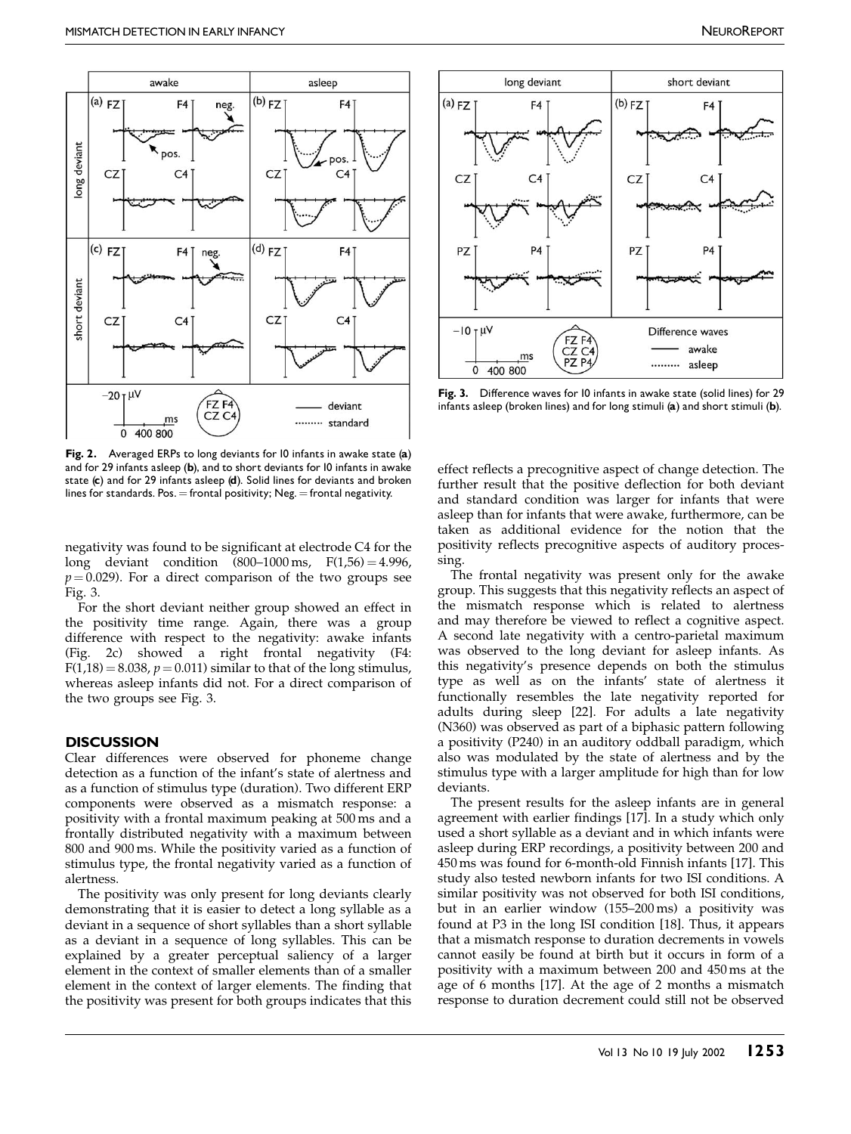

Fig. 2. Averaged ERPs to long deviants for 10 infants in awake state (a) and for 29 infants asleep (b), and to short deviants for 10 infants in awake state (c) and for 29 infants asleep (d). Solid lines for deviants and broken lines for standards. Pos.  $=$  frontal positivity; Neg.  $=$  frontal negativity.

negativity was found to be significant at electrode C4 for the long deviant condition  $(800-1000 \text{ ms}, \text{ F}(1,56) = 4.996,$  $p = 0.029$ ). For a direct comparison of the two groups see Fig. 3.

For the short deviant neither group showed an effect in the positivity time range. Again, there was a group difference with respect to the negativity: awake infants (Fig. 2c) showed a right frontal negativity (F4:  $F(1,18) = 8.038$ ,  $p = 0.011$ ) similar to that of the long stimulus, whereas asleep infants did not. For a direct comparison of the two groups see Fig. 3.

#### **DISCUSSION**

Clear differences were observed for phoneme change detection as a function of the infant's state of alertness and as a function of stimulus type (duration). Two different ERP components were observed as a mismatch response: a positivity with a frontal maximum peaking at 500 ms and a frontally distributed negativity with a maximum between 800 and 900 ms. While the positivity varied as a function of stimulus type, the frontal negativity varied as a function of alertness.

The positivity was only present for long deviants clearly demonstrating that it is easier to detect a long syllable as a deviant in a sequence of short syllables than a short syllable as a deviant in a sequence of long syllables. This can be explained by a greater perceptual saliency of a larger element in the context of smaller elements than of a smaller element in the context of larger elements. The finding that the positivity was present for both groups indicates that this



Fig. 3. Difference waves for 10 infants in awake state (solid lines) for 29 infants asleep (broken lines) and for long stimuli (a) and short stimuli (b).

effect reflects a precognitive aspect of change detection. The further result that the positive deflection for both deviant and standard condition was larger for infants that were asleep than for infants that were awake, furthermore, can be taken as additional evidence for the notion that the positivity reflects precognitive aspects of auditory processing.

The frontal negativity was present only for the awake group. This suggests that this negativity reflects an aspect of the mismatch response which is related to alertness and may therefore be viewed to reflect a cognitive aspect. A second late negativity with a centro-parietal maximum was observed to the long deviant for asleep infants. As this negativity's presence depends on both the stimulus type as well as on the infants' state of alertness it functionally resembles the late negativity reported for adults during sleep [22]. For adults a late negativity (N360) was observed as part of a biphasic pattern following a positivity (P240) in an auditory oddball paradigm, which also was modulated by the state of alertness and by the stimulus type with a larger amplitude for high than for low deviants.

The present results for the asleep infants are in general agreement with earlier findings [17]. In a study which only used a short syllable as a deviant and in which infants were asleep during ERP recordings, a positivity between 200 and 450 ms was found for 6-month-old Finnish infants [17]. This study also tested newborn infants for two ISI conditions. A similar positivity was not observed for both ISI conditions, but in an earlier window (155–200 ms) a positivity was found at P3 in the long ISI condition [18]. Thus, it appears that a mismatch response to duration decrements in vowels cannot easily be found at birth but it occurs in form of a positivity with a maximum between 200 and 450 ms at the age of 6 months [17]. At the age of 2 months a mismatch response to duration decrement could still not be observed